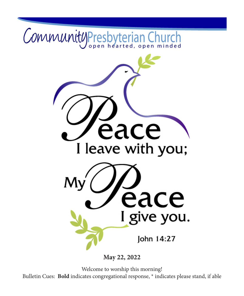

**May 22, 2022**

Welcome to worship this morning! Bulletin Cues: **Bold** indicates congregational response, \* indicates please stand, if able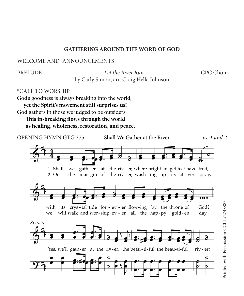#### **GATHERING AROUND THE WORD OF GOD**

WELCOME AND ANNOUNCEMENTS

PRELUDE *Let the River Run* CPC Choir by Carly Simon, arr. Craig Hella Johnson

\*CALL TO WORSHIP

God's goodness is always breaking into the world, **yet the Spirit's movement still surprises us!** God gathers in those we judged to be outsiders. **This in-breaking flows through the world**

**as healing, wholeness, restoration, and peace.**

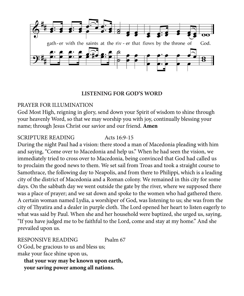

#### **LISTENING FOR GOD'S WORD**

#### PRAYER FOR ILLUMINATION

God Most High, reigning in glory, send down your Spirit of wisdom to shine through your heavenly Word, so that we may worship you with joy, continually blessing your name; through Jesus Christ our savior and our friend. **Amen**

#### SCRIPTURE READING Acts 16:9-15

During the night Paul had a vision: there stood a man of Macedonia pleading with him and saying, "Come over to Macedonia and help us." When he had seen the vision, we immediately tried to cross over to Macedonia, being convinced that God had called us to proclaim the good news to them. We set sail from Troas and took a straight course to Samothrace, the following day to Neapolis, and from there to Philippi, which is a leading city of the district of Macedonia and a Roman colony. We remained in this city for some days. On the sabbath day we went outside the gate by the river, where we supposed there was a place of prayer; and we sat down and spoke to the women who had gathered there. A certain woman named Lydia, a worshiper of God, was listening to us; she was from the city of Thyatira and a dealer in purple cloth. The Lord opened her heart to listen eagerly to what was said by Paul. When she and her household were baptized, she urged us, saying, "If you have judged me to be faithful to the Lord, come and stay at my home." And she prevailed upon us.

RESPONSIVE READING Psalm 67

O God, be gracious to us and bless us; make your face shine upon us,

**that your way may be known upon earth, your saving power among all nations.**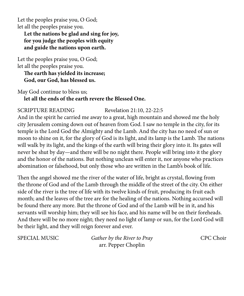Let the peoples praise you, O God; let all the peoples praise you. **Let the nations be glad and sing for joy, for you judge the peoples with equity and guide the nations upon earth.** 

Let the peoples praise you, O God; let all the peoples praise you.

**The earth has yielded its increase; God, our God, has blessed us.**

May God continue to bless us; **let all the ends of the earth revere the Blessed One.**

# SCRIPTURE READING Revelation 21:10, 22-22:5

And in the spirit he carried me away to a great, high mountain and showed me the holy city Jerusalem coming down out of heaven from God. I saw no temple in the city, for its temple is the Lord God the Almighty and the Lamb. And the city has no need of sun or moon to shine on it, for the glory of God is its light, and its lamp is the Lamb. The nations will walk by its light, and the kings of the earth will bring their glory into it. Its gates will never be shut by day—and there will be no night there. People will bring into it the glory and the honor of the nations. But nothing unclean will enter it, nor anyone who practices abomination or falsehood, but only those who are written in the Lamb's book of life.

Then the angel showed me the river of the water of life, bright as crystal, flowing from the throne of God and of the Lamb through the middle of the street of the city. On either side of the river is the tree of life with its twelve kinds of fruit, producing its fruit each month; and the leaves of the tree are for the healing of the nations. Nothing accursed will be found there any more. But the throne of God and of the Lamb will be in it, and his servants will worship him; they will see his face, and his name will be on their foreheads. And there will be no more night; they need no light of lamp or sun, for the Lord God will be their light, and they will reign forever and ever.

SPECIAL MUSIC *Gather by the River to Pray* CPC Choir arr. Pepper Choplin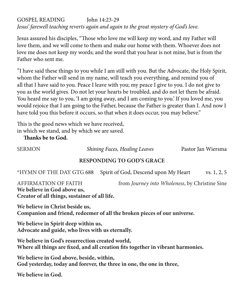# GOSPEL READING John 14:23-29 *Jesus' farewell teaching reverts again and again to the great mystery of God's love.*

Jesus assured his disciples, "Those who love me will keep my word, and my Father will love them, and we will come to them and make our home with them. Whoever does not love me does not keep my words; and the word that you hear is not mine, but is from the Father who sent me.

"I have said these things to you while I am still with you. But the Advocate, the Holy Spirit, whom the Father will send in my name, will teach you everything, and remind you of all that I have said to you. Peace I leave with you; my peace I give to you. I do not give to you as the world gives. Do not let your hearts be troubled, and do not let them be afraid. You heard me say to you, 'I am going away, and I am coming to you.' If you loved me, you would rejoice that I am going to the Father, because the Father is greater than I. And now I have told you this before it occurs, so that when it does occur, you may believe."

This is the good news which we have received, in which we stand, and by which we are saved.

**Thanks be to God.**

SERMON *Shining Faces, Healing Leaves* Pastor Jan Wiersma

#### **RESPONDING TO GOD'S GRACE**

\*HYMN OF THE DAY GTG 688 Spirit of God, Descend upon My Heart vs. 1, 2, 5

AFFIRMATION OF FAITH from *Journey into Wholeness*, by Christine Sine **We believe in God above us, Creator of all things, sustainer of all life.**

**We believe in Christ beside us, Companion and friend, redeemer of all the broken pieces of our universe.**

**We believe in Spirit deep within us, Advocate and guide, who lives with us eternally.**

**We believe in God's resurrection created world, Where all things are fixed, and all creation fits together in vibrant harmonies.**

**We believe in God above, beside, within, God yesterday, today and forever, the three in one, the one in three,**

**We believe in God.**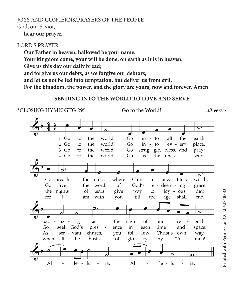# JOYS AND CONCERNS/PRAYERS OF THE PEOPLE

God, our Savior,

#### **hear our prayer.**

#### LORD'S PRAYER

**Our Father in heaven, hallowed be your name.**

**Your kingdom come, your will be done, on earth as it is in heaven.**

**Give us this day our daily bread;**

**and forgive us our debts, as we forgive our debtors;**

**and let us not be led into temptation, but deliver us from evil.**

**For the kingdom, the power, and the glory are yours, now and forever. Amen**

# **SENDING INTO THE WORLD TO LOVE AND SERVE**

\*CLOSING HYMN GTG 295 Go to the World! *all verses* $\mathbf{1}$ Go the world! Go the to in to all earth. 2  $Go$ the world! Go  $-$ to place. to in  $ev$ ery  $3$  Go to the world!  $Go$ strug - gle, bless, and pray; 4 Go the world!  $Go$ the to as ones I send, ठ preach where Christ worth,  $Go$ the cross re - news life's  $Go$ live the word of  $God's$ re - deem - ing grace. the nights tears of give way to joy - ous day. Printed with Permission CCLI #2748883for  $\mathbf{I}$ am with you till the age shall end, f. bap - tiz - ing as the sign of our re birth. Go seek God's pres each time  $\sim$ ence in and space. church, fol  $1<sub>ow</sub>$  $As$ ser - vant you  $\sim$ Christ's own way. when all the hosts of  $g$ lo - $^{\prime\prime}$ A men!" ry cry Al le  $-$ lu ia. Al  $le - lu$ ia.  $\overline{a}$  $\overline{a}$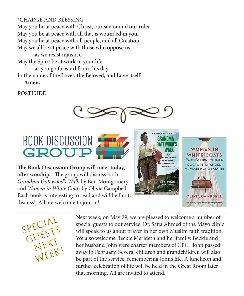# \*CHARGE AND BLESSING

May you be at peace with Christ, our savior and our ruler. May you be at peace with all that is wounded in you. May you be at peace with all people, and all Creation. May we all be at peace with those who oppose us

as we resist injustice.

May the Spirit be at work in your life

as you go forward from this day.

In the name of the Lover, the Beloved, and Love itself.

**Amen.**

**POSTLUDE** 





**The Book Discussion Group will meet today, after worship.** The group will discuss both *Grandma Gatewood's Walk* by Ben Montgomery and *Women in White Coats* by Olivia Campbell. Each book is interesting to read and will be fun to discuss! All are welcome to join in!







Next week, on May 29, we are pleased to welcome a number of special guests to our service. Dr. Safia Ahmed of the Mayo clinic will speak to us about prayer in her own Muslim faith tradition. We also welcome Beckie Merideth and her family. Beckie and her husband John were charter members of CPC. John passed away in February. Several children and grandchildren will also be part of the service, remembering John's life. A luncheon and further celebration of life will be held in the Great Room later that morning. All are invited to attend.